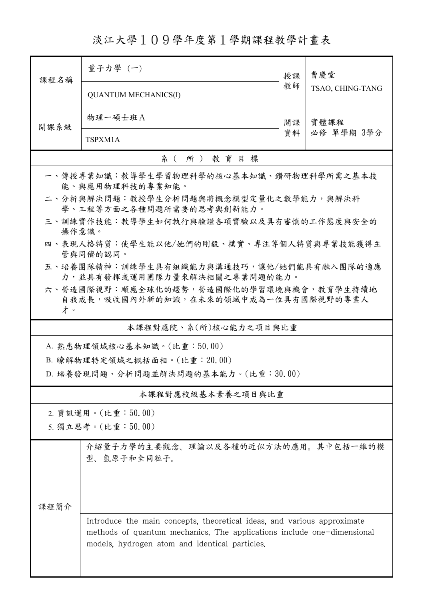淡江大學109學年度第1學期課程教學計畫表

| 課程名稱                                                                     | 量子力學(一)<br>授課<br>教師<br><b>QUANTUM MECHANICS(I)</b>                                                                                                                                                  |          | 曹慶堂                |  |  |  |  |
|--------------------------------------------------------------------------|-----------------------------------------------------------------------------------------------------------------------------------------------------------------------------------------------------|----------|--------------------|--|--|--|--|
|                                                                          |                                                                                                                                                                                                     |          | TSAO, CHING-TANG   |  |  |  |  |
| 開課系級                                                                     | 物理一碩士班A                                                                                                                                                                                             | 開課<br>資料 | 實體課程<br>必修 單學期 3學分 |  |  |  |  |
|                                                                          | TSPXM1A                                                                                                                                                                                             |          |                    |  |  |  |  |
| 系(所)教育目標                                                                 |                                                                                                                                                                                                     |          |                    |  |  |  |  |
| 一、傳授專業知識:教導學生學習物理科學的核心基本知識、鑽研物理科學所需之基本技<br>能、與應用物理科技的專業知能。               |                                                                                                                                                                                                     |          |                    |  |  |  |  |
| 二、分析與解決問題:教授學生分析問題與將概念模型定量化之數學能力,與解決科<br>學、工程等方面之各種問題所需要的思考與創新能力。        |                                                                                                                                                                                                     |          |                    |  |  |  |  |
| 三、訓練實作技能:教導學生如何執行與驗證各項實驗以及具有審慎的工作態度與安全的<br>操作意識。                         |                                                                                                                                                                                                     |          |                    |  |  |  |  |
| 四、表現人格特質:使學生能以他/她們的剛毅、樸實、專注等個人特質與專業技能獲得主<br>管與同儕的認同。                     |                                                                                                                                                                                                     |          |                    |  |  |  |  |
| 五、培養團隊精神:訓練學生具有組織能力與溝通技巧,讓他/她們能具有融入團隊的適應<br>力,並具有發揮或運用團隊力量來解決相關之專業問題的能力。 |                                                                                                                                                                                                     |          |                    |  |  |  |  |
|                                                                          | 六、營造國際視野:順應全球化的趨勢,營造國際化的學習環境與機會,教育學生持續地                                                                                                                                                             |          |                    |  |  |  |  |
| 才。                                                                       | 自我成長,吸收國內外新的知識,在未來的領域中成為一位具有國際視野的專業人                                                                                                                                                                |          |                    |  |  |  |  |
| 本課程對應院、系(所)核心能力之項目與比重                                                    |                                                                                                                                                                                                     |          |                    |  |  |  |  |
|                                                                          | A. 熟悉物理領域核心基本知識。(比重:50.00)                                                                                                                                                                          |          |                    |  |  |  |  |
| B. 瞭解物理特定領域之概括面相。(比重: 20.00)                                             |                                                                                                                                                                                                     |          |                    |  |  |  |  |
| D. 培養發現問題、分析問題並解決問題的基本能力。(比重:30.00)                                      |                                                                                                                                                                                                     |          |                    |  |  |  |  |
| 本課程對應校級基本素養之項目與比重                                                        |                                                                                                                                                                                                     |          |                    |  |  |  |  |
| 2. 資訊運用。(比重:50.00)                                                       |                                                                                                                                                                                                     |          |                    |  |  |  |  |
|                                                                          | 5. 獨立思考。(比重:50.00)                                                                                                                                                                                  |          |                    |  |  |  |  |
|                                                                          | 介紹量子力學的主要觀念、理論以及各種的近似方法的應用。其中包括一維的模<br>型、氫原子和全同粒子。                                                                                                                                                  |          |                    |  |  |  |  |
|                                                                          |                                                                                                                                                                                                     |          |                    |  |  |  |  |
| 課程簡介                                                                     |                                                                                                                                                                                                     |          |                    |  |  |  |  |
|                                                                          | Introduce the main concepts, theoretical ideas, and various approximate<br>methods of quantum mechanics. The applications include one-dimensional<br>models, hydrogen atom and identical particles. |          |                    |  |  |  |  |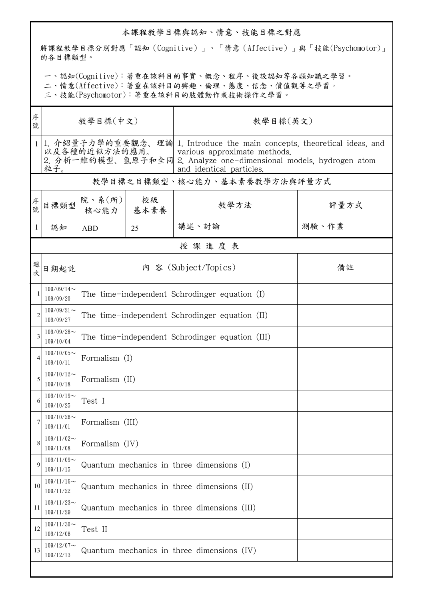## 本課程教學目標與認知、情意、技能目標之對應

將課程教學目標分別對應「認知(Cognitive)」、「情意(Affective)」與「技能(Psychomotor)」 的各目標類型。

一、認知(Cognitive):著重在該科目的事實、概念、程序、後設認知等各類知識之學習。

二、情意(Affective):著重在該科目的興趣、倫理、態度、信念、價值觀等之學習。

三、技能(Psychomotor):著重在該科目的肢體動作或技術操作之學習。

| 序<br>號         | 教學目標(中文)                     |                                                 |                      | 教學目標(英文)                                                                                                                                                                                                   |       |  |  |  |
|----------------|------------------------------|-------------------------------------------------|----------------------|------------------------------------------------------------------------------------------------------------------------------------------------------------------------------------------------------------|-------|--|--|--|
|                | 粒子。                          | 以及各種的近似方法的應用。                                   |                      | 1. 介紹量子力學的重要觀念、理論 1. Introduce the main concepts, theoretical ideas, and<br>various approximate methods.<br>2. 分析一維的模型、氫原子和全同 2. Analyze one-dimensional models, hydrogen atom<br>and identical particles. |       |  |  |  |
|                | 教學目標之目標類型、核心能力、基本素養教學方法與評量方式 |                                                 |                      |                                                                                                                                                                                                            |       |  |  |  |
| 序號             | 目標類型                         | 院、系 $(\kappa)$<br>核心能力   基本素養                   | 校級                   | 教學方法                                                                                                                                                                                                       | 評量方式  |  |  |  |
| 1              | 認知                           | <b>ABD</b>                                      | 25                   | 講述、討論                                                                                                                                                                                                      | 測驗、作業 |  |  |  |
|                | 授課進度表                        |                                                 |                      |                                                                                                                                                                                                            |       |  |  |  |
| 週次             | 日期起訖                         |                                                 | 內 容 (Subject/Topics) | 備註                                                                                                                                                                                                         |       |  |  |  |
|                | $109/09/14$ ~<br>109/09/20   | The time-independent Schrodinger equation (I)   |                      |                                                                                                                                                                                                            |       |  |  |  |
| $\overline{c}$ | $109/09/21$ ~<br>109/09/27   | The time-independent Schrodinger equation (II)  |                      |                                                                                                                                                                                                            |       |  |  |  |
| 3              | $109/09/28$ ~<br>109/10/04   | The time-independent Schrodinger equation (III) |                      |                                                                                                                                                                                                            |       |  |  |  |
| 4              | $109/10/05$ ~<br>109/10/11   | Formalism (I)                                   |                      |                                                                                                                                                                                                            |       |  |  |  |
| 5              | $109/10/12$ ~<br>109/10/18   | Formalism (II)                                  |                      |                                                                                                                                                                                                            |       |  |  |  |
| 6              | $109/10/19$ ~<br>109/10/25   | Test I                                          |                      |                                                                                                                                                                                                            |       |  |  |  |
| 7              | $109/10/26$ ~<br>109/11/01   | Formalism (III)                                 |                      |                                                                                                                                                                                                            |       |  |  |  |
| 8              | $109/11/02$ ~<br>109/11/08   | Formalism (IV)                                  |                      |                                                                                                                                                                                                            |       |  |  |  |
| 9              | $109/11/09$ ~<br>109/11/15   | Quantum mechanics in three dimensions (I)       |                      |                                                                                                                                                                                                            |       |  |  |  |
| 10             | $109/11/16$ ~<br>109/11/22   | Quantum mechanics in three dimensions (II)      |                      |                                                                                                                                                                                                            |       |  |  |  |
| 11             | $109/11/23$ ~<br>109/11/29   | Quantum mechanics in three dimensions (III)     |                      |                                                                                                                                                                                                            |       |  |  |  |
| 12             | $109/11/30$ ~<br>109/12/06   | Test II                                         |                      |                                                                                                                                                                                                            |       |  |  |  |
| 13             | $109/12/07$ ~<br>109/12/13   | Quantum mechanics in three dimensions (IV)      |                      |                                                                                                                                                                                                            |       |  |  |  |
|                |                              |                                                 |                      |                                                                                                                                                                                                            |       |  |  |  |